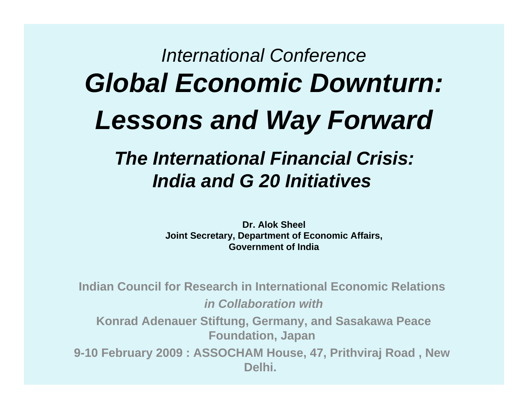### *International Conference Global Economic Downturn: Lessons and Way Forward*

### *The International Financial Crisis: India and G 20 Initiatives*

**Dr. Alok SheelJoint Secretary, Department of Economic Affairs, Government of India**

**Indian Council for Research in International Economic Relations**  *in Collaboration with***Konrad Adenauer Stiftung, Germany, and Sasakawa Peace Foundation, Japan 9-10 February 2009 : ASSOCHAM House, 47, Prithviraj Road , New Delhi.**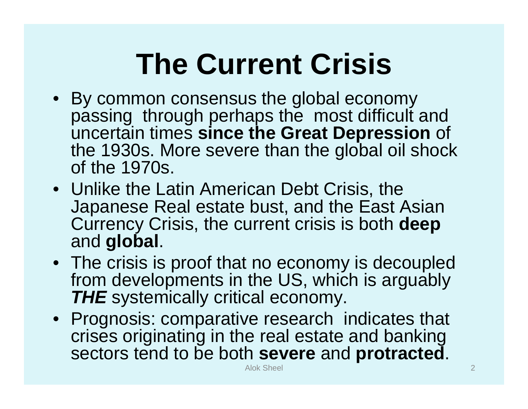### **The Current Crisis**

- By common consensus the global economy passing through perhaps the most difficult and uncertain times **since the Great Depression** of the 1930s. More severe than the global oil shock of the 1970s.
- Unlike the Latin American Debt Crisis, the Japanese Real estate bust, and the East Asian Currency Crisis, the current crisis is both **deep** and **global**.
- The crisis is proof that no economy is decoupled from developments in the US, which is arguably *THE* systemically critical economy.
- Prognosis: comparative research indicates that crises originating in the real estate and banking sectors tend to be both **severe** and **protracted**.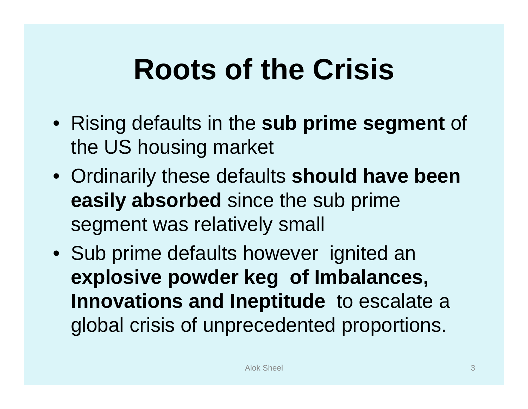### **Roots of the Crisis**

- Rising defaults in the **sub prime segment** of the US housing market
- Ordinarily these defaults **should have been easily absorbed** since the sub prime segment was relatively small
- Sub prime defaults however ignited an **explosive powder keg of Imbalances, Innovations and Ineptitude** to escalate a global crisis of unprecedented proportions.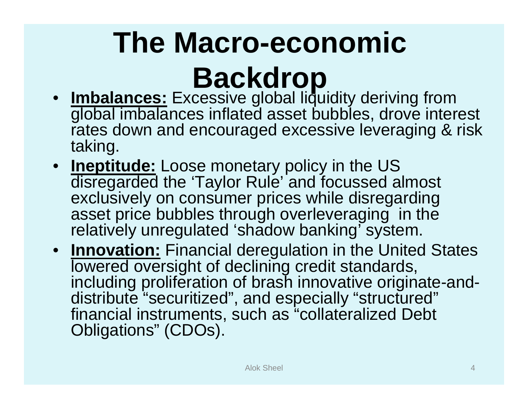# **The Macro-economic**

### **Backdrop**

- **Imbalances:** Excessive global liquidity deriving from global imbalances inflated asset bubbles, drove interest rates down and encouraged excessive leveraging & risk taking.
- **Ineptitude:** Loose monetary policy in the US disregarded the 'Taylor Rule' and focussed almost exclusively on consumer prices while disregarding asset price bubbles through overleveraging in the relatively unregulated 'shadow banking' system.
- **Innovation:** Financial deregulation in the United States lowered oversight of declining credit standards, including proliferation of brash innovative originate-anddistribute "securitized", and especially "structured" financial instruments, such as "collateralized Debt Obligations" (CDOs).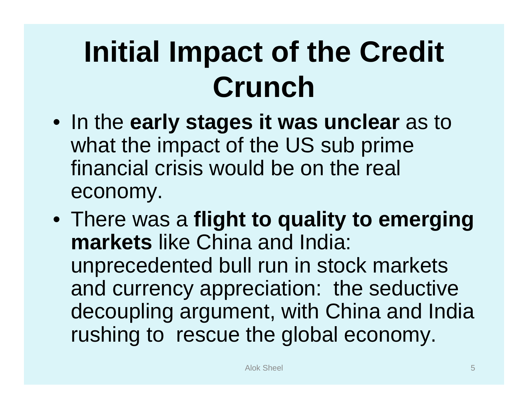### **Initial Impact of the Credit Crunch**

- In the **early stages it was unclear** as to what the impact of the US sub prime financial crisis would be on the real economy.
- There was a **flight to quality to emerging markets** like China and India: unprecedented bull run in stock markets and currency appreciation: the seductive decoupling argument, with China and India rushing to rescue the global economy.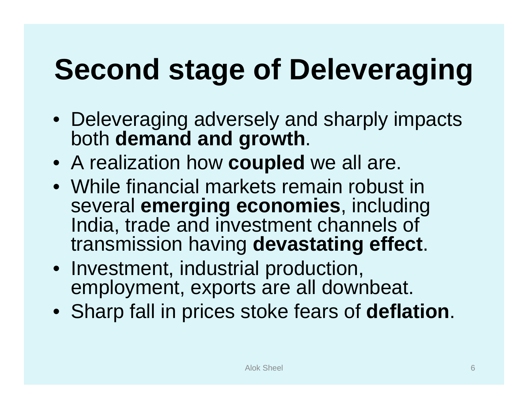# **Second stage of Deleveraging**

- Deleveraging adversely and sharply impacts both **demand and growth**.
- A realization how **coupled** we all are.
- While financial markets remain robust in several **emerging economies**, including India, trade and investment channels of transmission having **devastating effect**.
- Investment, industrial production, employment, exports are all downbeat.
- Sharp fall in prices stoke fears of **deflation**.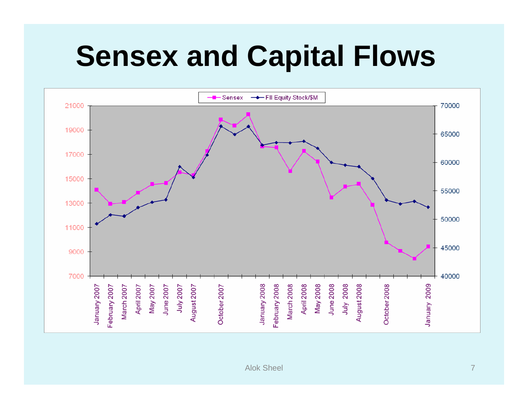### **Sensex and Capital Flows**

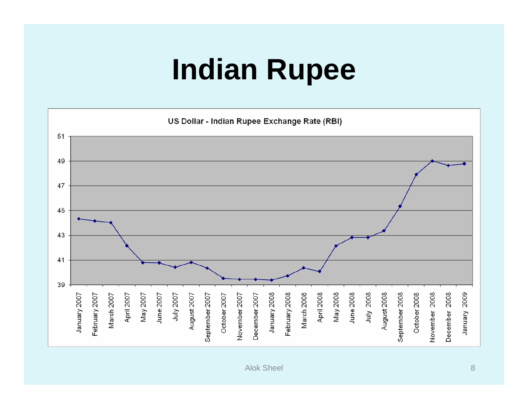### **Indian Rupee**

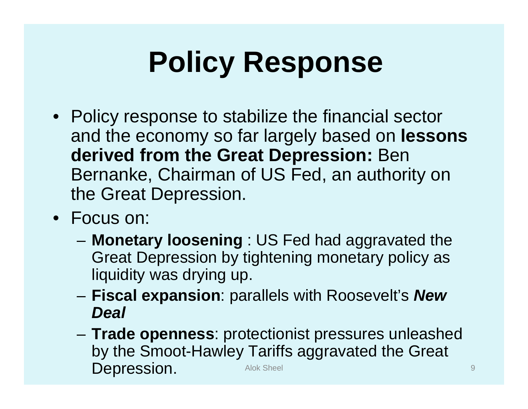### **Policy Response**

- Policy response to stabilize the financial sector and the economy so far largely based on **lessons derived from the Great Depression:** Ben Bernanke, Chairman of US Fed, an authority on the Great Depression.
- Focus on:
	- **Monetary loosening** : US Fed had aggravated the Great Depression by tightening monetary policy as liquidity was drying up.
	- – **Fiscal expansion**: parallels with Roosevelt's *New Deal*
	- **Trade openness**: protectionist pressures unleashed by the Smoot-Hawley Tariffs aggravated the Great **Depression.** Alok Sheel 9 and Sheel 9 and Sheel 9 and Sheel 9 and Sheel 9 and Sheel 9 and Sheel 9 and Sheel 9 and Sheel 9 and Sheel 9 and Sheel 9 and Sheel 9 and Sheel 9 and Sheel 9 and Sheel 9 and Sheel 9 and Sheel 9 and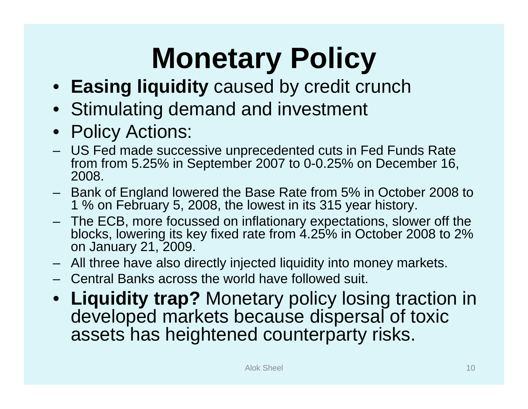# **Monetary Policy**

- **Easing liquidity** caused by credit crunch
- Stimulating demand and investment
- Policy Actions:
- US Fed made successive unprecedented cuts in Fed Funds Rate from from 5.25% in September 2007 to 0-0.25% on December 16, 2008.
- Bank of England lowered the Base Rate from 5% in October 2008 to 1 % on February 5, 2008, the lowest in its 315 year history.
- The ECB, more focussed on inflationary expectations, slower off the blocks, lowering its key fixed rate from 4.25% in October 2008 to 2% on January 21, 2009.
- All three have also directly injected liquidity into money markets.
- Central Banks across the world have followed suit.
- • **Liquidity trap?** Monetary policy losing traction in developed markets because dispersal of toxic assets has heightened counterparty risks.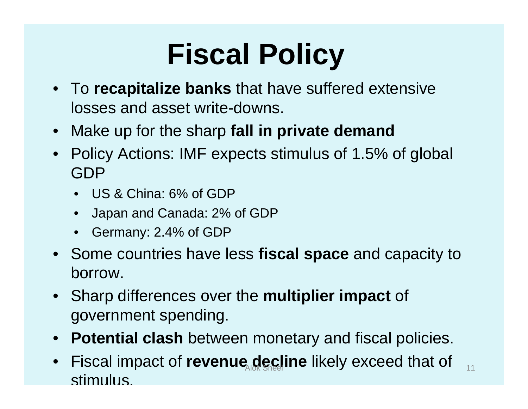### **Fiscal Policy**

- To **recapitalize banks** that have suffered extensive losses and asset write-downs.
- Make up for the sharp **fall in private demand**
- Policy Actions: IMF expects stimulus of 1.5% of global GDP
	- US & China: 6% of GDP
	- •Japan and Canada: 2% of GDP
	- Germany: 2.4% of GDP
- Some countries have less **fiscal space** and capacity to borrow.
- Sharp differences over the **multiplier impact** of government spending.
- **Potential clash** between monetary and fiscal policies.
- $\bullet$ Fiscal impact of **revenue decline** likely exceed that of stimulus.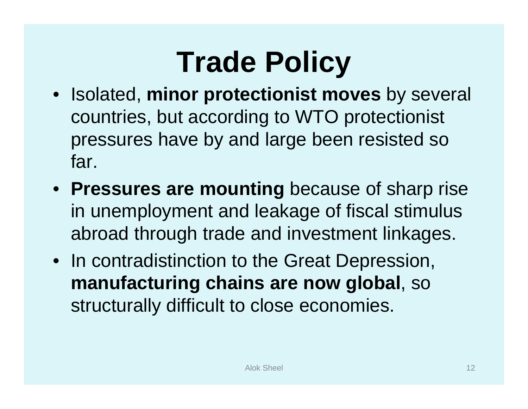### **Trade Policy**

- Isolated, **minor protectionist moves** by several countries, but according to WTO protectionist pressures have by and large been resisted so far.
- **Pressures are mounting** because of sharp rise in unemployment and leakage of fiscal stimulus abroad through trade and investment linkages.
- In contradistinction to the Great Depression, **manufacturing chains are now global**, so structurally difficult to close economies.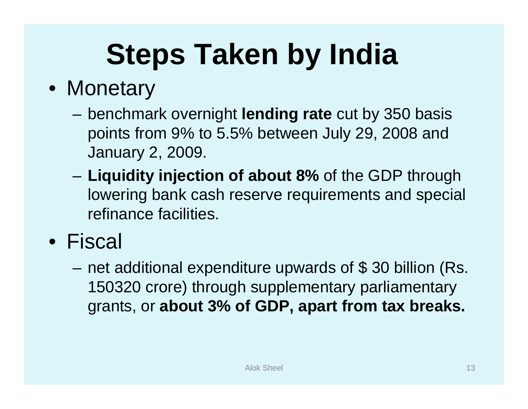# **Steps Taken by India**

### • Monetary

- benchmark overnight **lending rate** cut by 350 basis points from 9% to 5.5% between July 29, 2008 and January 2, 2009.
- – **Liquidity injection of about 8%** of the GDP through lowering bank cash reserve requirements and special refinance facilities.

### • Fiscal

– net additional expenditure upwards of \$ 30 billion (Rs. 150320 crore) through supplementary parliamentary grants, or **about 3% of GDP, apart from tax breaks.**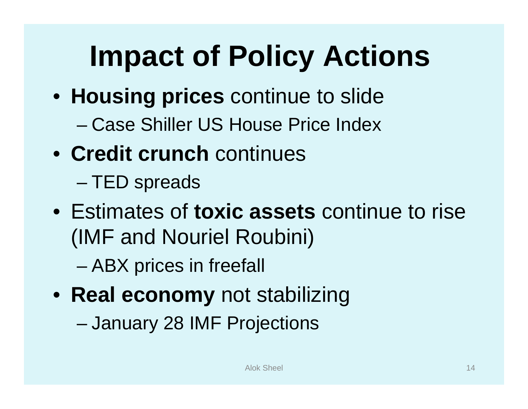# **Impact of Policy Actions**

- **Housing prices** continue to slide
	- Case Shiller US House Price Index
- **Credit crunch** continues
	- –TED spreads
- Estimates of **toxic assets** continue to rise (IMF and Nouriel Roubini)
	- –ABX prices in freefall
- **Real economy** not stabilizing
	- –January 28 IMF Projections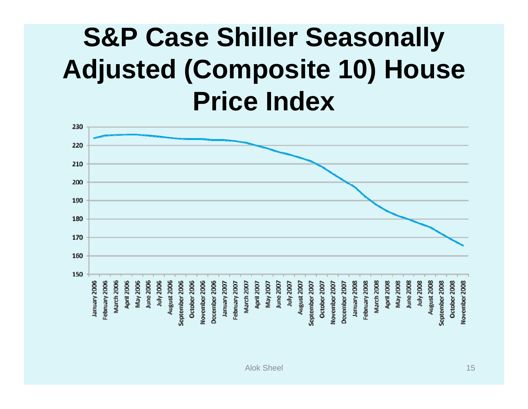### **S&P Case Shiller Seasonally Adjusted (Composite 10) House Price Index**

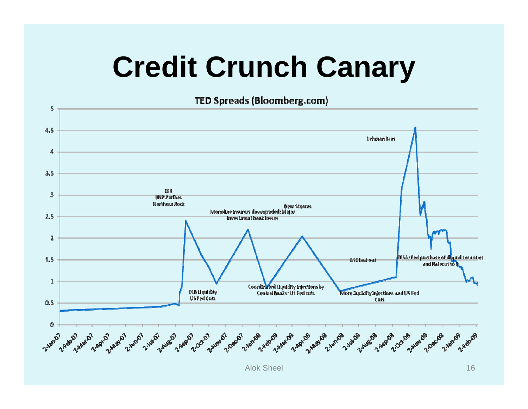### **Credit Crunch Canary**

TED Spreads (Bloomberg.com)

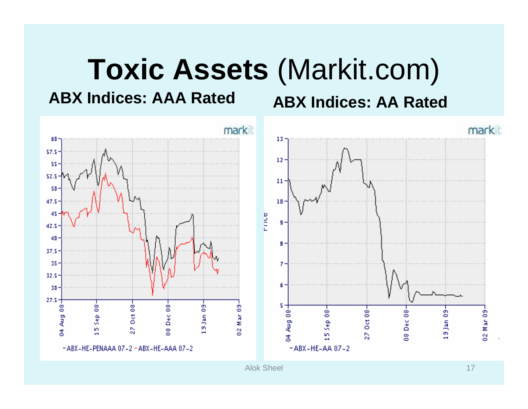### **Toxic Assets** (Markit.com)

**ABX Indices: AAA Rated**

**ABX Indices: AA Rated**

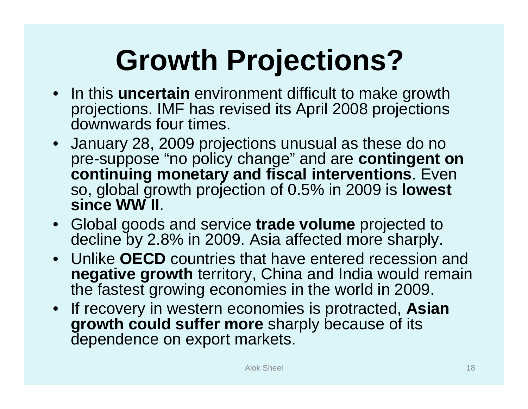# **Growth Projections?**

- In this **uncertain** environment difficult to make growth projections. IMF has revised its April 2008 projections downwards four times.
- January 28, 2009 projections unusual as these do no pre-suppose "no policy change" and are **contingent on continuing monetary and fiscal interventions**. Even so, global growth projection of 0.5% in 2009 is **lowest since WW II**.
- Global goods and service **trade volume** projected to decline by 2.8% in 2009. Asia affected more sharply.
- Unlike **OECD** countries that have entered recession and **negative growth** territory, China and India would remain the fastest growing economies in the world in 2009.
- If recovery in western economies is protracted, **Asian growth could suffer more** sharply because of its dependence on export markets.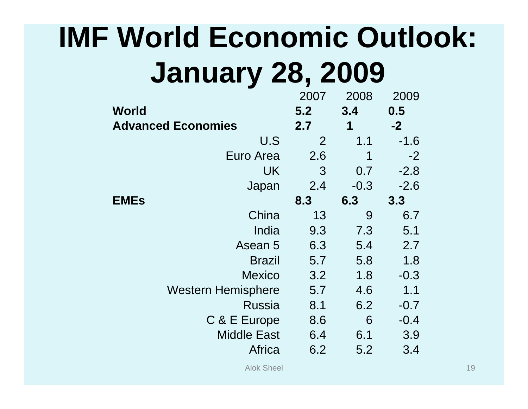### **IMF World Economic Outlook: January 28, 2009**

|                           | 2007 | 2008   | 2009   |
|---------------------------|------|--------|--------|
| World                     | 5.2  | 3.4    | 0.5    |
| <b>Advanced Economies</b> | 2.7  | 1      | $-2$   |
| U.S                       | 2    | 1.1    | $-1.6$ |
| Euro Area                 | 2.6  | 1      | $-2$   |
| UK                        | 3    | 0.7    | $-2.8$ |
| Japan                     | 2.4  | $-0.3$ | $-2.6$ |
| <b>EMEs</b>               | 8.3  | 6.3    | 3.3    |
| China                     | 13   | 9      | 6.7    |
| India                     | 9.3  | 7.3    | 5.1    |
| Asean 5                   | 6.3  | 5.4    | 2.7    |
| <b>Brazil</b>             | 5.7  | 5.8    | 1.8    |
| <b>Mexico</b>             | 3.2  | 1.8    | $-0.3$ |
| <b>Western Hemisphere</b> | 5.7  | 4.6    | 1.1    |
| Russia                    | 8.1  | 6.2    | $-0.7$ |
| C & E Europe              | 8.6  | 6      | $-0.4$ |
| <b>Middle East</b>        | 6.4  | 6.1    | 3.9    |
| Africa                    | 6.2  | 5.2    | 3.4    |
|                           |      |        |        |

Alok Sheel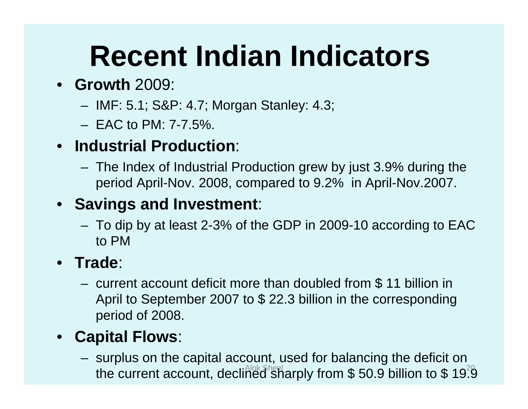### **Recent Indian Indicators**

### • **Growth** 2009:

- IMF: 5.1; S&P: 4.7; Morgan Stanley: 4.3;
- EAC to PM: 7-7.5%.

### • **Industrial Production**:

 The Index of Industrial Production grew by just 3.9% during the period April-Nov. 2008, compared to 9.2% in April-Nov.2007.

### • **Savings and Investment**:

 To dip by at least 2-3% of the GDP in 2009-10 according to EAC to PM

### •**Trade**:

– current account deficit more than doubled from \$ 11 billion in April to September 2007 to \$ 22.3 billion in the corresponding period of 2008.

### •**Capital Flows**:

 surplus on the capital account, used for balancing the deficit on the current account, declined sharply from \$50.9 billion to \$19.9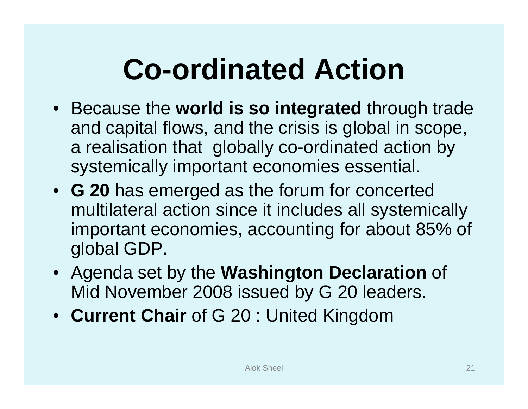### **Co-ordinated Action**

- Because the **world is so integrated** through trade and capital flows, and the crisis is global in scope, a realisation that globally co-ordinated action by systemically important economies essential.
- **G 20** has emerged as the forum for concerted multilateral action since it includes all systemically important economies, accounting for about 85% of global GDP.
- Agenda set by the **Washington Declaration** of Mid November 2008 issued by G 20 leaders.
- **Current Chair** of G 20 : United Kingdom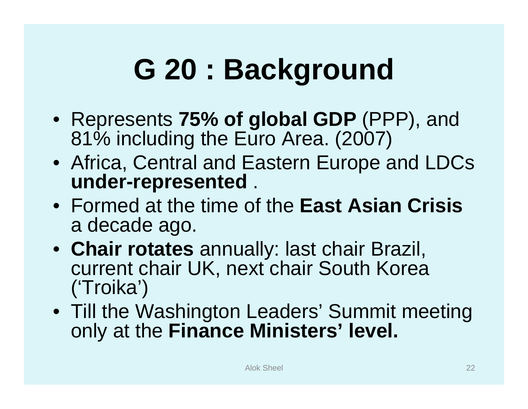### **G 20 : Background**

- Represents **75% of global GDP** (PPP), and 81% including the Euro Area. (2007)
- Africa, Central and Eastern Europe and LDCs **under-represented** .
- Formed at the time of the **East Asian Crisis**  a decade ago.
- **Chair rotates** annually: last chair Brazil, current chair UK, next chair South Korea ('Troika')
- Till the Washington Leaders' Summit meeting only at the **Finance Ministers' level.**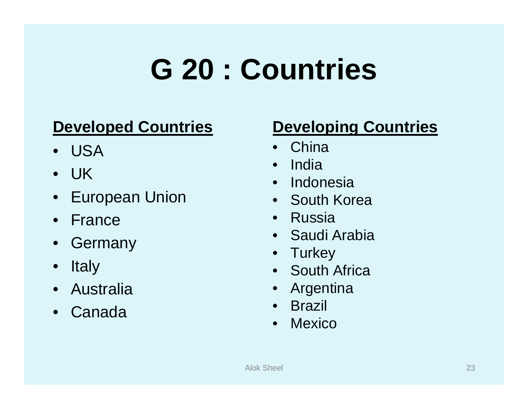### **G 20 : Countries**

### **Developed Countries**

- USA
- UK
- European Union
- France
- Germany
- $\bullet$ **Italy**
- Australia
- $\bullet$ Canada

### **Developing Countries**

- China
- India
- Indonesia
- South Korea
- Russia
- Saudi Arabia
- Turkey
- South Africa
- Argentina
- Brazil
- $\bullet$ Mexico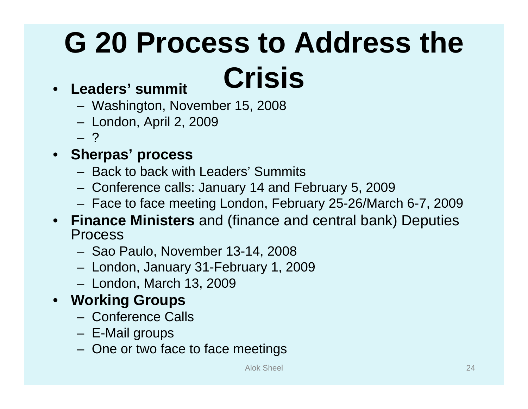# **G 20 Process to Address the**

### • **Leaders' summit Crisis**

- Washington, November 15, 2008
- London, April 2, 2009
- ?

### • **Sherpas' process**

- Back to back with Leaders' Summits
- Conference calls: January 14 and February 5, 2009
- Face to face meeting London, February 25-26/March 6-7, 2009
- **Finance Ministers** and (finance and central bank) Deputies Process
	- Sao Paulo, November 13-14, 2008
	- London, January 31-February 1, 2009
	- London, March 13, 2009
- **Working Groups**
	- Conference Calls
	- E-Mail groups
	- One or two face to face meetings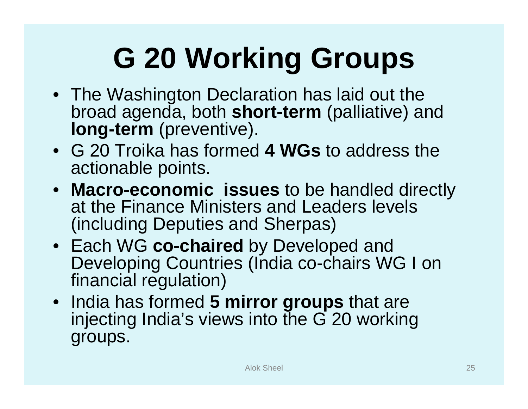# **G 20 Working Groups**

- The Washington Declaration has laid out the broad agenda, both **short-term** (palliative) and **long-term** (preventive).
- G 20 Troika has formed **4 WGs** to address the actionable points.
- **Macro-economic issues** to be handled directly at the Finance Ministers and Leaders levels (including Deputies and Sherpas)
- Each WG **co-chaired** by Developed and Developing Countries (India co-chairs WG I on financial regulation)
- India has formed **5 mirror groups** that are injecting India's views into the G 20 working groups.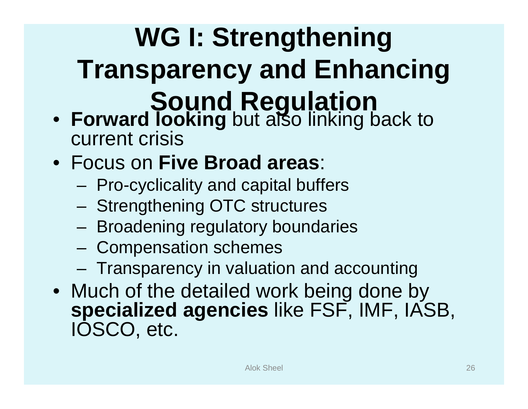### **WG I: Strengthening Transparency and Enhancing Sound Regulation**

- **Forward looking** but also linking back to current crisis
- Focus on **Five Broad areas**:
	- –Pro-cyclicality and capital buffers
	- Strengthening OTC structures
	- –Broadening regulatory boundaries
	- –Compensation schemes
	- Transparency in valuation and accounting
- Much of the detailed work being done by **specialized agencies** like FSF, IMF, IASB, IOSCO, etc.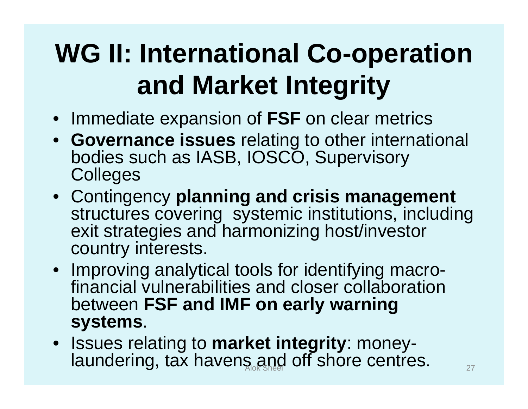### **WG II: International Co-operation and Market Integrity**

- Immediate expansion of **FSF** on clear metrics
- **Governance issues** relating to other international bodies such as IASB, IOSCO, Supervisory **Colleges**
- Contingency **planning and crisis management**  structures covering systemic institutions, including exit strategies and harmonizing host/investor country interests.
- Improving analytical tools for identifying macrofinancial vulnerabilities and closer collaboration between **FSF and IMF on early warning systems**.
- Issues relating to **market integrity**: moneylaundering, tax havens and off shore centres.  $\frac{1}{27}$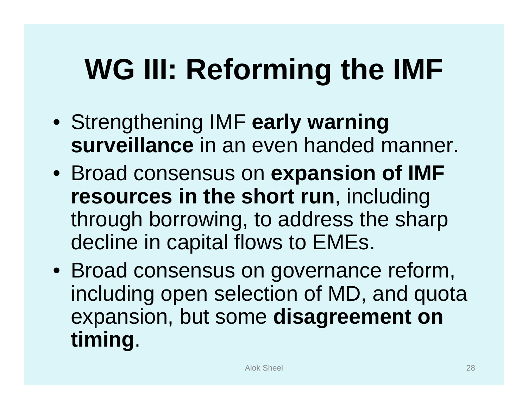### **WG III: Reforming the IMF**

- Strengthening IMF **early warning surveillance** in an even handed manner.
- Broad consensus on **expansion of IMF resources in the short run**, including through borrowing, to address the sharp decline in capital flows to EMEs.
- Broad consensus on governance reform, including open selection of MD, and quota expansion, but some **disagreement on timing**.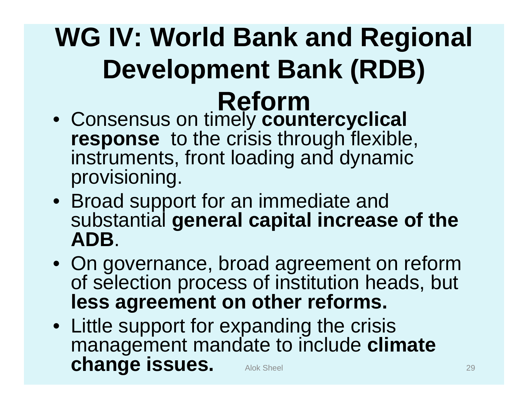# **WG IV: World Bank and Regional Development Bank (RDB) Reform** • Consensus on timely **countercyclical**

- **response** to the crisis through flexible, instruments, front loading and dynamic provisioning.
- Broad support for an immediate and substantial **general capital increase of the ADB**.
- On governance, broad agreement on reform of selection process of institution heads, but **less agreement on other reforms.**
- Little support for expanding the crisis management mandate to include **climate change issues.** Alok Sheel 29 29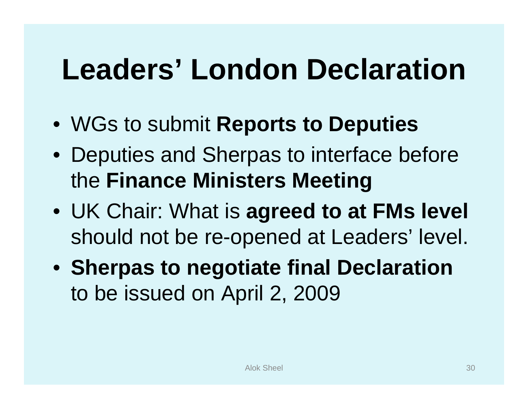### **Leaders' London Declaration**

- WGs to submit **Reports to Deputies**
- Deputies and Sherpas to interface before the **Finance Ministers Meeting**
- UK Chair: What is **agreed to at FMs level**  should not be re-opened at Leaders' level.
- **Sherpas to negotiate final Declaration**  to be issued on April 2, 2009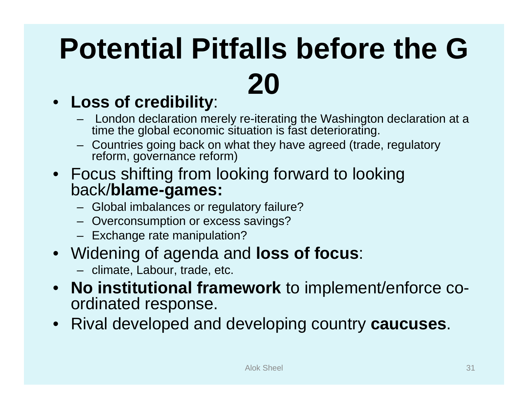# **Potential Pitfalls before the G 20**

### • **Loss of credibility**:

- London declaration merely re-iterating the Washington declaration at a time the global economic situation is fast deteriorating.
- Countries going back on what they have agreed (trade, regulatory reform, governance reform)
- Focus shifting from looking forward to looking back/**blame-games:**
	- Global imbalances or regulatory failure?
	- Overconsumption or excess savings?
	- Exchange rate manipulation?
- Widening of agenda and **loss of focus**:
	- climate, Labour, trade, etc.
- **No institutional framework** to implement/enforce coordinated response.
- Rival developed and developing country **caucuses**.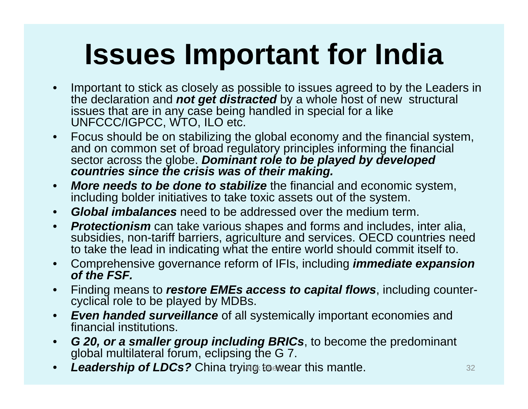### **Issues Important for India**

- $\bullet$  Important to stick as closely as possible to issues agreed to by the Leaders in the declaration and *not get distracted* by a whole host of new structural issues that are in any case being handled in special for a like UNFCCC/IGPCC, WTO, ILO etc.
- • Focus should be on stabilizing the global economy and the financial system, and on common set of broad regulatory principles informing the financial sector across the globe. *Dominant role to be played by developed countries since the crisis was of their making.*
- $\bullet$  *More needs to be done to stabilize* the financial and economic system, including bolder initiatives to take toxic assets out of the system.
- $\bullet$ *Global imbalances* need to be addressed over the medium term.
- $\bullet$  *Protectionism* can take various shapes and forms and includes, inter alia, subsidies, non-tariff barriers, agriculture and services. OECD countries need to take the lead in indicating what the entire world should commit itself to.
- $\bullet$  Comprehensive governance reform of IFIs, including *immediate expansion of the FSF.*
- $\bullet$  Finding means to *restore EMEs access to capital flows*, including countercyclical role to be played by MDBs.
- $\bullet$  *Even handed surveillance* of all systemically important economies and financial institutions.
- $\bullet$  *G 20, or a smaller group including BRICs*, to become the predominant global multilateral forum, eclipsing the G 7.
- •*Leadership of LDCs?* **China trying to wear this mantle. Allow Alok Sheel 32**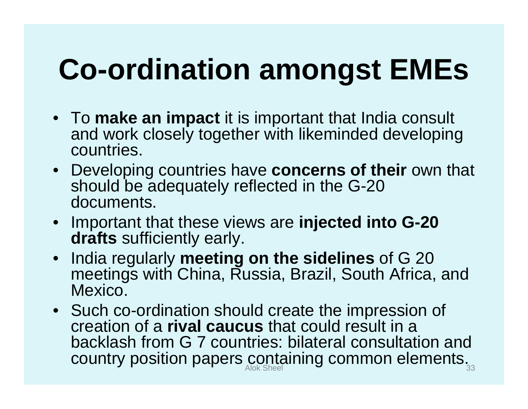### **Co-ordination amongst EMEs**

- To **make an impact** it is important that India consult and work closely together with likeminded developing countries.
- Developing countries have **concerns of their** own that should be adequately reflected in the G-20 documents.
- Important that these views are **injected into G-20 drafts** sufficiently early.
- India regularly **meeting on the sidelines** of G 20 meetings with China, Russia, Brazil, South Africa, and Mexico.
- Such co-ordination should create the impression of creation of a **rival caucus** that could result in a backlash from G 7 countries: bilateral consultation and country position papers containing common elements. $_{_{33}}$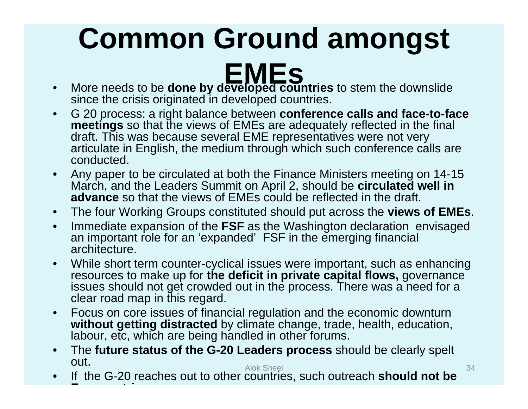# **Common Ground amongst**

- $\bullet$ MES<br>More needs to be **done by developed countries** to stem the downslide since the crisis originated in developed countries.
- • G 20 process: a right balance between **conference calls and face-to-face meetings** so that the views of EMEs are adequately reflected in the final draft. This was because several EME representatives were not very articulate in English, the medium through which such conference calls are conducted.
- $\bullet$  Any paper to be circulated at both the Finance Ministers meeting on 14-15 March, and the Leaders Summit on April 2, should be **circulated well in advance** so that the views of EMEs could be reflected in the draft.
- $\bullet$ The four Working Groups constituted should put across the **views of EMEs**.
- $\bullet$  Immediate expansion of the **FSF** as the Washington declaration envisaged an important role for an 'expanded' FSF in the emerging financial architecture.
- $\bullet$  While short term counter-cyclical issues were important, such as enhancing resources to make up for **the deficit in private capital flows,** governance issues should not get crowded out in the process. There was a need for a clear road map in this regard.
- $\bullet$  Focus on core issues of financial regulation and the economic downturn **without getting distracted** by climate change, trade, health, education, labour, etc, which are being handled in other forums.
- $\bullet$  The **future status of the G-20 Leaders process** should be clearly spelt out.Alok Sheel 34
- $\bullet$  If the G-20 reaches out to other countries, such outreach **should not be Et i**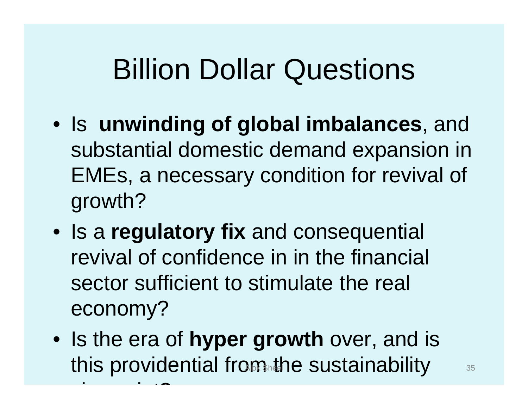### Billion Dollar Questions

- Is **unwinding of global imbalances**, and substantial domestic demand expansion in EMEs, a necessary condition for revival of growth?
- Is a **regulatory fix** and consequential revival of confidence in in the financial sector sufficient to stimulate the real economy?
- Is the era of **hyper growth** over, and is this providential from the sustainability Alok Sheel 35

i i također i također i također i također i također i također i također i također i također i također i takođe<br>Izvori